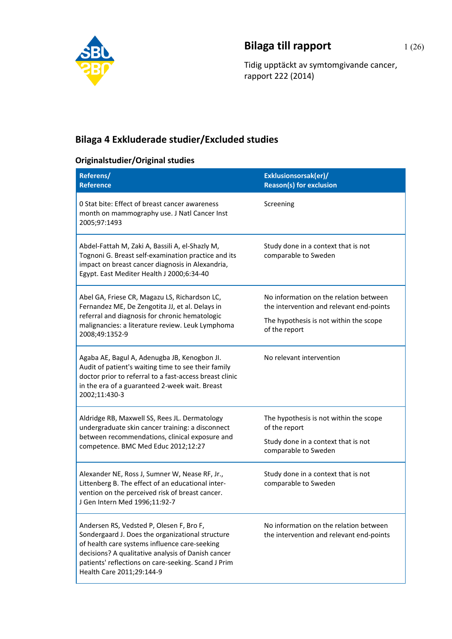

## **Bilaga till rapport** 1 (26)

Tidig upptäckt av symtomgivande cancer, rapport 222 (2014)

## **Bilaga 4 Exkluderade studier/Excluded studies**

## **Originalstudier/Original studies**

| Referens/<br><b>Reference</b>                                                                                                                                                                                                                                                           | Exklusionsorsak(er)/<br><b>Reason(s) for exclusion</b>                             |
|-----------------------------------------------------------------------------------------------------------------------------------------------------------------------------------------------------------------------------------------------------------------------------------------|------------------------------------------------------------------------------------|
| 0 Stat bite: Effect of breast cancer awareness<br>month on mammography use. J Natl Cancer Inst<br>2005;97:1493                                                                                                                                                                          | Screening                                                                          |
| Abdel-Fattah M, Zaki A, Bassili A, el-Shazly M,<br>Tognoni G. Breast self-examination practice and its<br>impact on breast cancer diagnosis in Alexandria,<br>Egypt. East Mediter Health J 2000;6:34-40                                                                                 | Study done in a context that is not<br>comparable to Sweden                        |
| Abel GA, Friese CR, Magazu LS, Richardson LC,<br>Fernandez ME, De Zengotita JJ, et al. Delays in<br>referral and diagnosis for chronic hematologic<br>malignancies: a literature review. Leuk Lymphoma<br>2008;49:1352-9                                                                | No information on the relation between<br>the intervention and relevant end-points |
|                                                                                                                                                                                                                                                                                         | The hypothesis is not within the scope<br>of the report                            |
| Agaba AE, Bagul A, Adenugba JB, Kenogbon JI.<br>Audit of patient's waiting time to see their family<br>doctor prior to referral to a fast-access breast clinic<br>in the era of a guaranteed 2-week wait. Breast<br>2002;11:430-3                                                       | No relevant intervention                                                           |
| Aldridge RB, Maxwell SS, Rees JL. Dermatology<br>undergraduate skin cancer training: a disconnect<br>between recommendations, clinical exposure and<br>competence. BMC Med Educ 2012;12:27                                                                                              | The hypothesis is not within the scope<br>of the report                            |
|                                                                                                                                                                                                                                                                                         | Study done in a context that is not<br>comparable to Sweden                        |
| Alexander NE, Ross J, Sumner W, Nease RF, Jr.,<br>Littenberg B. The effect of an educational inter-<br>vention on the perceived risk of breast cancer.<br>J Gen Intern Med 1996;11:92-7                                                                                                 | Study done in a context that is not<br>comparable to Sweden                        |
| Andersen RS, Vedsted P, Olesen F, Bro F,<br>Sondergaard J. Does the organizational structure<br>of health care systems influence care-seeking<br>decisions? A qualitative analysis of Danish cancer<br>patients' reflections on care-seeking. Scand J Prim<br>Health Care 2011;29:144-9 | No information on the relation between<br>the intervention and relevant end-points |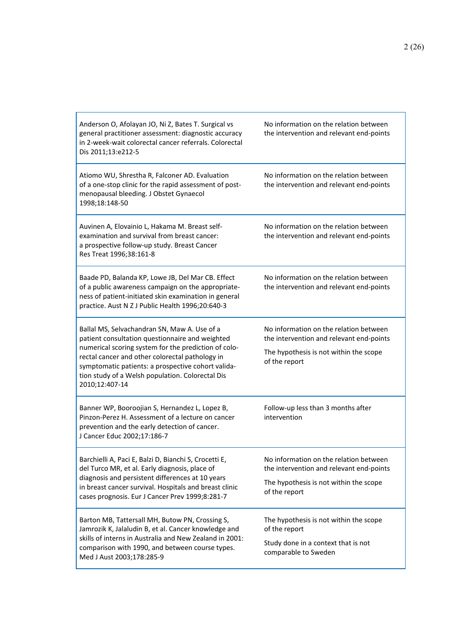| Anderson O, Afolayan JO, Ni Z, Bates T. Surgical vs<br>general practitioner assessment: diagnostic accuracy<br>in 2-week-wait colorectal cancer referrals. Colorectal<br>Dis 2011;13:e212-5                                                                                                                                            | No information on the relation between<br>the intervention and relevant end-points                                                            |
|----------------------------------------------------------------------------------------------------------------------------------------------------------------------------------------------------------------------------------------------------------------------------------------------------------------------------------------|-----------------------------------------------------------------------------------------------------------------------------------------------|
| Atiomo WU, Shrestha R, Falconer AD. Evaluation<br>of a one-stop clinic for the rapid assessment of post-<br>menopausal bleeding. J Obstet Gynaecol<br>1998;18:148-50                                                                                                                                                                   | No information on the relation between<br>the intervention and relevant end-points                                                            |
| Auvinen A, Elovainio L, Hakama M. Breast self-<br>examination and survival from breast cancer:<br>a prospective follow-up study. Breast Cancer<br>Res Treat 1996;38:161-8                                                                                                                                                              | No information on the relation between<br>the intervention and relevant end-points                                                            |
| Baade PD, Balanda KP, Lowe JB, Del Mar CB. Effect<br>of a public awareness campaign on the appropriate-<br>ness of patient-initiated skin examination in general<br>practice. Aust N Z J Public Health 1996;20:640-3                                                                                                                   | No information on the relation between<br>the intervention and relevant end-points                                                            |
| Ballal MS, Selvachandran SN, Maw A. Use of a<br>patient consultation questionnaire and weighted<br>numerical scoring system for the prediction of colo-<br>rectal cancer and other colorectal pathology in<br>symptomatic patients: a prospective cohort valida-<br>tion study of a Welsh population. Colorectal Dis<br>2010;12:407-14 | No information on the relation between<br>the intervention and relevant end-points<br>The hypothesis is not within the scope<br>of the report |
| Banner WP, Booroojian S, Hernandez L, Lopez B,<br>Pinzon-Perez H. Assessment of a lecture on cancer<br>prevention and the early detection of cancer.<br>J Cancer Educ 2002;17:186-7                                                                                                                                                    | Follow-up less than 3 months after<br>intervention                                                                                            |
| Barchielli A, Paci E, Balzi D, Bianchi S, Crocetti E,<br>del Turco MR, et al. Early diagnosis, place of<br>diagnosis and persistent differences at 10 years<br>in breast cancer survival. Hospitals and breast clinic<br>cases prognosis. Eur J Cancer Prev 1999;8:281-7                                                               | No information on the relation between<br>the intervention and relevant end-points<br>The hypothesis is not within the scope<br>of the report |
| Barton MB, Tattersall MH, Butow PN, Crossing S,<br>Jamrozik K, Jalaludin B, et al. Cancer knowledge and<br>skills of interns in Australia and New Zealand in 2001:<br>comparison with 1990, and between course types.<br>Med J Aust 2003;178:285-9                                                                                     | The hypothesis is not within the scope<br>of the report<br>Study done in a context that is not<br>comparable to Sweden                        |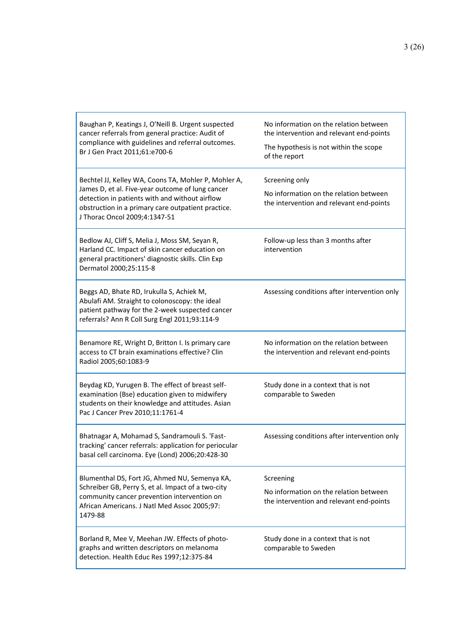| Baughan P, Keatings J, O'Neill B. Urgent suspected<br>cancer referrals from general practice: Audit of<br>compliance with guidelines and referral outcomes.<br>Br J Gen Pract 2011;61:e700-6                                                      | No information on the relation between<br>the intervention and relevant end-points<br>The hypothesis is not within the scope<br>of the report |
|---------------------------------------------------------------------------------------------------------------------------------------------------------------------------------------------------------------------------------------------------|-----------------------------------------------------------------------------------------------------------------------------------------------|
| Bechtel JJ, Kelley WA, Coons TA, Mohler P, Mohler A,<br>James D, et al. Five-year outcome of lung cancer<br>detection in patients with and without airflow<br>obstruction in a primary care outpatient practice.<br>J Thorac Oncol 2009;4:1347-51 | Screening only<br>No information on the relation between<br>the intervention and relevant end-points                                          |
| Bedlow AJ, Cliff S, Melia J, Moss SM, Seyan R,<br>Harland CC. Impact of skin cancer education on<br>general practitioners' diagnostic skills. Clin Exp<br>Dermatol 2000;25:115-8                                                                  | Follow-up less than 3 months after<br>intervention                                                                                            |
| Beggs AD, Bhate RD, Irukulla S, Achiek M,<br>Abulafi AM. Straight to colonoscopy: the ideal<br>patient pathway for the 2-week suspected cancer<br>referrals? Ann R Coll Surg Engl 2011;93:114-9                                                   | Assessing conditions after intervention only                                                                                                  |
| Benamore RE, Wright D, Britton I. Is primary care<br>access to CT brain examinations effective? Clin<br>Radiol 2005;60:1083-9                                                                                                                     | No information on the relation between<br>the intervention and relevant end-points                                                            |
| Beydag KD, Yurugen B. The effect of breast self-<br>examination (Bse) education given to midwifery<br>students on their knowledge and attitudes. Asian<br>Pac J Cancer Prev 2010;11:1761-4                                                        | Study done in a context that is not<br>comparable to Sweden                                                                                   |
| Bhatnagar A, Mohamad S, Sandramouli S. 'Fast-<br>tracking' cancer referrals: application for periocular<br>basal cell carcinoma. Eye (Lond) 2006;20:428-30                                                                                        | Assessing conditions after intervention only                                                                                                  |
| Blumenthal DS, Fort JG, Ahmed NU, Semenya KA,<br>Schreiber GB, Perry S, et al. Impact of a two-city<br>community cancer prevention intervention on<br>African Americans. J Natl Med Assoc 2005;97:<br>1479-88                                     | Screening<br>No information on the relation between<br>the intervention and relevant end-points                                               |
| Borland R, Mee V, Meehan JW. Effects of photo-<br>graphs and written descriptors on melanoma<br>detection. Health Educ Res 1997;12:375-84                                                                                                         | Study done in a context that is not<br>comparable to Sweden                                                                                   |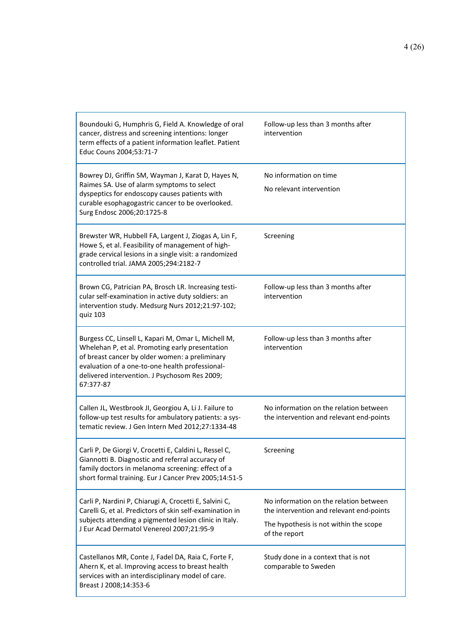| Boundouki G, Humphris G, Field A. Knowledge of oral<br>cancer, distress and screening intentions: longer<br>term effects of a patient information leaflet. Patient<br>Educ Couns 2004;53:71-7                                                                             | Follow-up less than 3 months after<br>intervention                                                                                            |
|---------------------------------------------------------------------------------------------------------------------------------------------------------------------------------------------------------------------------------------------------------------------------|-----------------------------------------------------------------------------------------------------------------------------------------------|
| Bowrey DJ, Griffin SM, Wayman J, Karat D, Hayes N,<br>Raimes SA. Use of alarm symptoms to select<br>dyspeptics for endoscopy causes patients with<br>curable esophagogastric cancer to be overlooked.<br>Surg Endosc 2006;20:1725-8                                       | No information on time<br>No relevant intervention                                                                                            |
| Brewster WR, Hubbell FA, Largent J, Ziogas A, Lin F,<br>Howe S, et al. Feasibility of management of high-<br>grade cervical lesions in a single visit: a randomized<br>controlled trial. JAMA 2005;294:2182-7                                                             | Screening                                                                                                                                     |
| Brown CG, Patrician PA, Brosch LR. Increasing testi-<br>cular self-examination in active duty soldiers: an<br>intervention study. Medsurg Nurs 2012;21:97-102;<br>quiz 103                                                                                                | Follow-up less than 3 months after<br>intervention                                                                                            |
| Burgess CC, Linsell L, Kapari M, Omar L, Michell M,<br>Whelehan P, et al. Promoting early presentation<br>of breast cancer by older women: a preliminary<br>evaluation of a one-to-one health professional-<br>delivered intervention. J Psychosom Res 2009;<br>67:377-87 | Follow-up less than 3 months after<br>intervention                                                                                            |
| Callen JL, Westbrook JI, Georgiou A, Li J. Failure to<br>follow-up test results for ambulatory patients: a sys-<br>tematic review. J Gen Intern Med 2012;27:1334-48                                                                                                       | No information on the relation between<br>the intervention and relevant end-points                                                            |
| Carli P, De Giorgi V, Crocetti E, Caldini L, Ressel C<br>Giannotti B. Diagnostic and referral accuracy of<br>family doctors in melanoma screening: effect of a<br>short formal training. Eur J Cancer Prev 2005;14:51-5                                                   | Screening                                                                                                                                     |
| Carli P, Nardini P, Chiarugi A, Crocetti E, Salvini C,<br>Carelli G, et al. Predictors of skin self-examination in<br>subjects attending a pigmented lesion clinic in Italy.<br>J Eur Acad Dermatol Venereol 2007;21:95-9                                                 | No information on the relation between<br>the intervention and relevant end-points<br>The hypothesis is not within the scope<br>of the report |
| Castellanos MR, Conte J, Fadel DA, Raia C, Forte F,<br>Ahern K, et al. Improving access to breast health<br>services with an interdisciplinary model of care.<br>Breast J 2008;14:353-6                                                                                   | Study done in a context that is not<br>comparable to Sweden                                                                                   |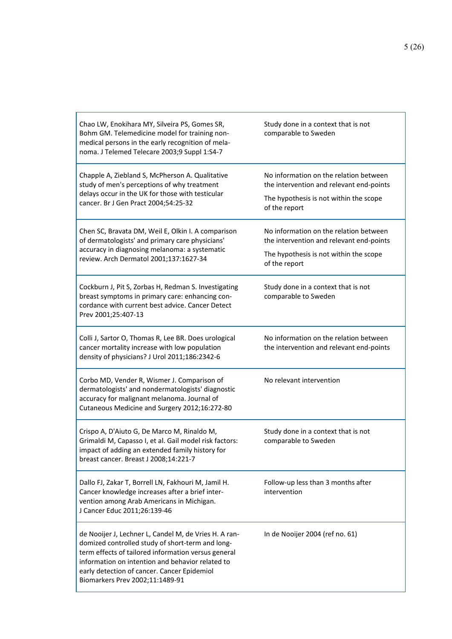| Chao LW, Enokihara MY, Silveira PS, Gomes SR,<br>Bohm GM. Telemedicine model for training non-<br>medical persons in the early recognition of mela-<br>noma. J Telemed Telecare 2003;9 Suppl 1:S4-7                                                                                                    | Study done in a context that is not<br>comparable to Sweden                                                                                   |
|--------------------------------------------------------------------------------------------------------------------------------------------------------------------------------------------------------------------------------------------------------------------------------------------------------|-----------------------------------------------------------------------------------------------------------------------------------------------|
| Chapple A, Ziebland S, McPherson A. Qualitative<br>study of men's perceptions of why treatment<br>delays occur in the UK for those with testicular<br>cancer. Br J Gen Pract 2004;54:25-32                                                                                                             | No information on the relation between<br>the intervention and relevant end-points<br>The hypothesis is not within the scope<br>of the report |
| Chen SC, Bravata DM, Weil E, Olkin I. A comparison<br>of dermatologists' and primary care physicians'<br>accuracy in diagnosing melanoma: a systematic<br>review. Arch Dermatol 2001;137:1627-34                                                                                                       | No information on the relation between<br>the intervention and relevant end-points<br>The hypothesis is not within the scope<br>of the report |
| Cockburn J, Pit S, Zorbas H, Redman S. Investigating<br>breast symptoms in primary care: enhancing con-<br>cordance with current best advice. Cancer Detect<br>Prev 2001;25:407-13                                                                                                                     | Study done in a context that is not<br>comparable to Sweden                                                                                   |
| Colli J, Sartor O, Thomas R, Lee BR. Does urological<br>cancer mortality increase with low population<br>density of physicians? J Urol 2011;186:2342-6                                                                                                                                                 | No information on the relation between<br>the intervention and relevant end-points                                                            |
| Corbo MD, Vender R, Wismer J. Comparison of<br>dermatologists' and nondermatologists' diagnostic<br>accuracy for malignant melanoma. Journal of<br>Cutaneous Medicine and Surgery 2012;16:272-80                                                                                                       | No relevant intervention                                                                                                                      |
| Crispo A, D'Aiuto G, De Marco M, Rinaldo M,<br>Grimaldi M, Capasso I, et al. Gail model risk factors:<br>impact of adding an extended family history for<br>breast cancer. Breast J 2008;14:221-7                                                                                                      | Study done in a context that is not<br>comparable to Sweden                                                                                   |
| Dallo FJ, Zakar T, Borrell LN, Fakhouri M, Jamil H.<br>Cancer knowledge increases after a brief inter-<br>vention among Arab Americans in Michigan.<br>J Cancer Educ 2011;26:139-46                                                                                                                    | Follow-up less than 3 months after<br>intervention                                                                                            |
| de Nooijer J, Lechner L, Candel M, de Vries H. A ran-<br>domized controlled study of short-term and long-<br>term effects of tailored information versus general<br>information on intention and behavior related to<br>early detection of cancer. Cancer Epidemiol<br>Biomarkers Prev 2002;11:1489-91 | In de Nooijer 2004 (ref no. 61)                                                                                                               |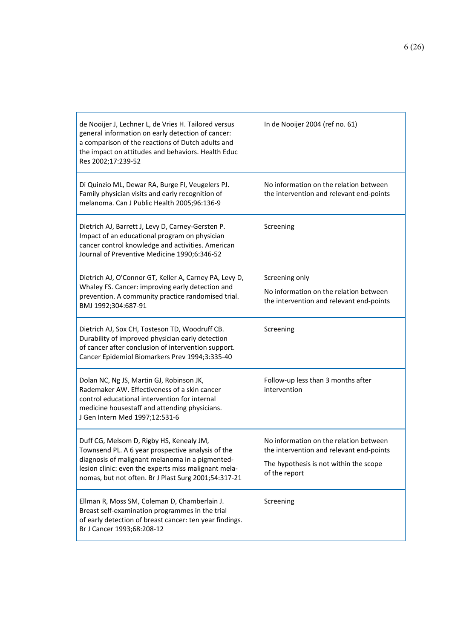| de Nooijer J, Lechner L, de Vries H. Tailored versus<br>general information on early detection of cancer:<br>a comparison of the reactions of Dutch adults and<br>the impact on attitudes and behaviors. Health Educ<br>Res 2002;17:239-52 | In de Nooijer 2004 (ref no. 61)                                                    |
|--------------------------------------------------------------------------------------------------------------------------------------------------------------------------------------------------------------------------------------------|------------------------------------------------------------------------------------|
| Di Quinzio ML, Dewar RA, Burge FI, Veugelers PJ.<br>Family physician visits and early recognition of<br>melanoma. Can J Public Health 2005;96:136-9                                                                                        | No information on the relation between<br>the intervention and relevant end-points |
| Dietrich AJ, Barrett J, Levy D, Carney-Gersten P.<br>Impact of an educational program on physician<br>cancer control knowledge and activities. American<br>Journal of Preventive Medicine 1990;6:346-52                                    | Screening                                                                          |
| Dietrich AJ, O'Connor GT, Keller A, Carney PA, Levy D,<br>Whaley FS. Cancer: improving early detection and<br>prevention. A community practice randomised trial.<br>BMJ 1992;304:687-91                                                    | Screening only                                                                     |
|                                                                                                                                                                                                                                            | No information on the relation between<br>the intervention and relevant end-points |
| Dietrich AJ, Sox CH, Tosteson TD, Woodruff CB.<br>Durability of improved physician early detection<br>of cancer after conclusion of intervention support.<br>Cancer Epidemiol Biomarkers Prev 1994;3:335-40                                | Screening                                                                          |
| Dolan NC, Ng JS, Martin GJ, Robinson JK,<br>Rademaker AW. Effectiveness of a skin cancer<br>control educational intervention for internal<br>medicine housestaff and attending physicians.<br>J Gen Intern Med 1997;12:531-6               | Follow-up less than 3 months after<br>intervention                                 |
| Duff CG, Melsom D, Rigby HS, Kenealy JM,                                                                                                                                                                                                   | No information on the relation between                                             |
| Townsend PL. A 6 year prospective analysis of the<br>diagnosis of malignant melanoma in a pigmented-<br>lesion clinic: even the experts miss malignant mela-<br>nomas, but not often. Br J Plast Surg 2001;54:317-21                       | the intervention and relevant end-points<br>The hypothesis is not within the scope |
|                                                                                                                                                                                                                                            | of the report                                                                      |
| Ellman R, Moss SM, Coleman D, Chamberlain J.<br>Breast self-examination programmes in the trial<br>of early detection of breast cancer: ten year findings.<br>Br J Cancer 1993;68:208-12                                                   | Screening                                                                          |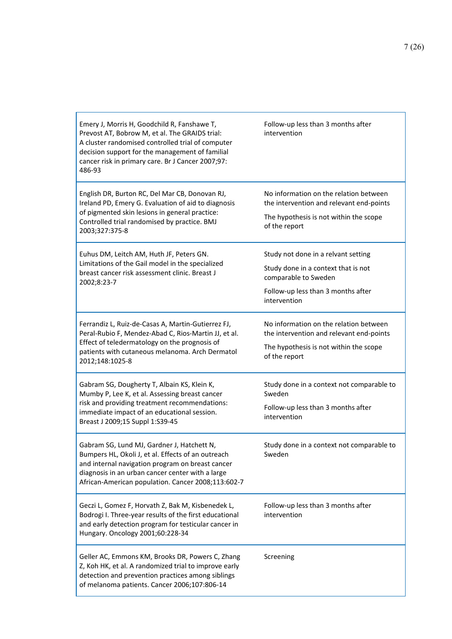| Emery J, Morris H, Goodchild R, Fanshawe T,<br>Prevost AT, Bobrow M, et al. The GRAIDS trial:<br>A cluster randomised controlled trial of computer<br>decision support for the management of familial<br>cancer risk in primary care. Br J Cancer 2007;97:<br>486-93 | Follow-up less than 3 months after<br>intervention                                                                                                       |
|----------------------------------------------------------------------------------------------------------------------------------------------------------------------------------------------------------------------------------------------------------------------|----------------------------------------------------------------------------------------------------------------------------------------------------------|
| English DR, Burton RC, Del Mar CB, Donovan RJ,<br>Ireland PD, Emery G. Evaluation of aid to diagnosis<br>of pigmented skin lesions in general practice:<br>Controlled trial randomised by practice. BMJ<br>2003;327:375-8                                            | No information on the relation between<br>the intervention and relevant end-points<br>The hypothesis is not within the scope<br>of the report            |
| Euhus DM, Leitch AM, Huth JF, Peters GN.<br>Limitations of the Gail model in the specialized<br>breast cancer risk assessment clinic. Breast J<br>2002;8:23-7                                                                                                        | Study not done in a relvant setting<br>Study done in a context that is not<br>comparable to Sweden<br>Follow-up less than 3 months after<br>intervention |
| Ferrandiz L, Ruiz-de-Casas A, Martin-Gutierrez FJ,<br>Peral-Rubio F, Mendez-Abad C, Rios-Martin JJ, et al.<br>Effect of teledermatology on the prognosis of<br>patients with cutaneous melanoma. Arch Dermatol<br>2012;148:1025-8                                    | No information on the relation between<br>the intervention and relevant end-points<br>The hypothesis is not within the scope<br>of the report            |
| Gabram SG, Dougherty T, Albain KS, Klein K,<br>Mumby P, Lee K, et al. Assessing breast cancer<br>risk and providing treatment recommendations:<br>immediate impact of an educational session.<br>Breast J 2009;15 Suppl 1:S39-45                                     | Study done in a context not comparable to<br>Sweden<br>Follow-up less than 3 months after<br>intervention                                                |
| Gabram SG, Lund MJ, Gardner J, Hatchett N,<br>Bumpers HL, Okoli J, et al. Effects of an outreach<br>and internal navigation program on breast cancer<br>diagnosis in an urban cancer center with a large<br>African-American population. Cancer 2008;113:602-7       | Study done in a context not comparable to<br>Sweden                                                                                                      |
| Geczi L, Gomez F, Horvath Z, Bak M, Kisbenedek L,<br>Bodrogi I. Three-year results of the first educational<br>and early detection program for testicular cancer in<br>Hungary. Oncology 2001;60:228-34                                                              | Follow-up less than 3 months after<br>intervention                                                                                                       |
| Geller AC, Emmons KM, Brooks DR, Powers C, Zhang<br>Z, Koh HK, et al. A randomized trial to improve early<br>detection and prevention practices among siblings<br>of melanoma patients. Cancer 2006;107:806-14                                                       | Screening                                                                                                                                                |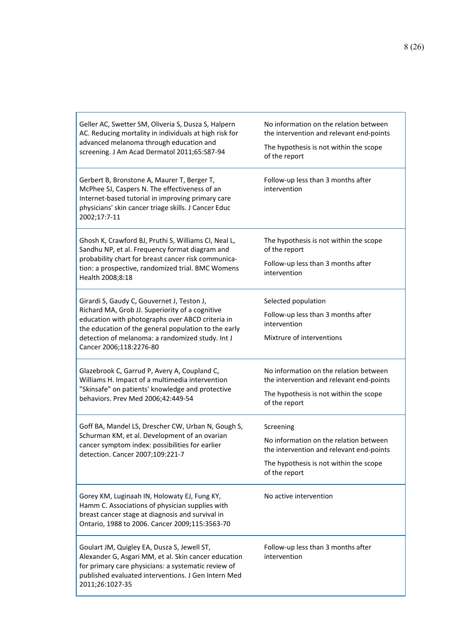| Geller AC, Swetter SM, Oliveria S, Dusza S, Halpern<br>AC. Reducing mortality in individuals at high risk for<br>advanced melanoma through education and<br>screening. J Am Acad Dermatol 2011;65:S87-94                             | No information on the relation between<br>the intervention and relevant end-points<br>The hypothesis is not within the scope<br>of the report |
|--------------------------------------------------------------------------------------------------------------------------------------------------------------------------------------------------------------------------------------|-----------------------------------------------------------------------------------------------------------------------------------------------|
| Gerbert B, Bronstone A, Maurer T, Berger T,<br>McPhee SJ, Caspers N. The effectiveness of an<br>Internet-based tutorial in improving primary care<br>physicians' skin cancer triage skills. J Cancer Educ<br>2002;17:7-11            | Follow-up less than 3 months after<br>intervention                                                                                            |
| Ghosh K, Crawford BJ, Pruthi S, Williams CI, Neal L,<br>Sandhu NP, et al. Frequency format diagram and                                                                                                                               | The hypothesis is not within the scope<br>of the report                                                                                       |
| probability chart for breast cancer risk communica-<br>tion: a prospective, randomized trial. BMC Womens<br>Health 2008;8:18                                                                                                         | Follow-up less than 3 months after<br>intervention                                                                                            |
| Girardi S, Gaudy C, Gouvernet J, Teston J,                                                                                                                                                                                           | Selected population                                                                                                                           |
| Richard MA, Grob JJ. Superiority of a cognitive<br>education with photographs over ABCD criteria in                                                                                                                                  | Follow-up less than 3 months after<br>intervention                                                                                            |
| the education of the general population to the early<br>detection of melanoma: a randomized study. Int J<br>Cancer 2006;118:2276-80                                                                                                  | Mixtrure of interventions                                                                                                                     |
| Glazebrook C, Garrud P, Avery A, Coupland C,<br>Williams H. Impact of a multimedia intervention<br>"Skinsafe" on patients' knowledge and protective<br>behaviors. Prev Med 2006;42:449-54                                            | No information on the relation between<br>the intervention and relevant end-points                                                            |
|                                                                                                                                                                                                                                      | The hypothesis is not within the scope<br>of the report                                                                                       |
| Goff BA, Mandel LS, Drescher CW, Urban N, Gough S,<br>Schurman KM, et al. Development of an ovarian<br>cancer symptom index: possibilities for earlier<br>detection. Cancer 2007;109:221-7                                           | Screening                                                                                                                                     |
|                                                                                                                                                                                                                                      | No information on the relation between<br>the intervention and relevant end-points                                                            |
|                                                                                                                                                                                                                                      | The hypothesis is not within the scope<br>of the report                                                                                       |
| Gorey KM, Luginaah IN, Holowaty EJ, Fung KY,<br>Hamm C. Associations of physician supplies with<br>breast cancer stage at diagnosis and survival in<br>Ontario, 1988 to 2006. Cancer 2009;115:3563-70                                | No active intervention                                                                                                                        |
| Goulart JM, Quigley EA, Dusza S, Jewell ST,<br>Alexander G, Asgari MM, et al. Skin cancer education<br>for primary care physicians: a systematic review of<br>published evaluated interventions. J Gen Intern Med<br>2011;26:1027-35 | Follow-up less than 3 months after<br>intervention                                                                                            |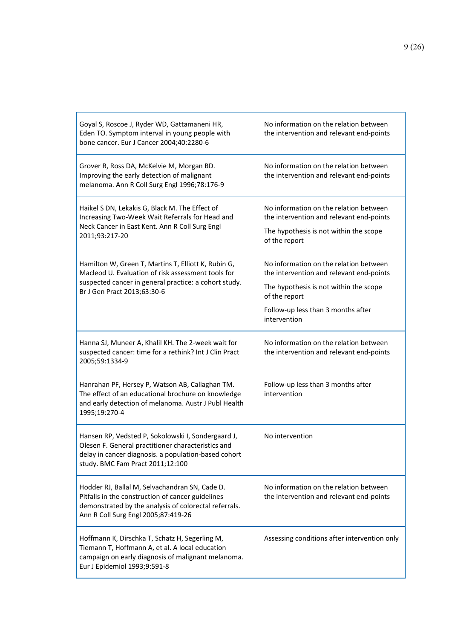| Goyal S, Roscoe J, Ryder WD, Gattamaneni HR,<br>Eden TO. Symptom interval in young people with<br>bone cancer. Eur J Cancer 2004;40:2280-6                                                           | No information on the relation between<br>the intervention and relevant end-points |
|------------------------------------------------------------------------------------------------------------------------------------------------------------------------------------------------------|------------------------------------------------------------------------------------|
| Grover R, Ross DA, McKelvie M, Morgan BD.<br>Improving the early detection of malignant<br>melanoma. Ann R Coll Surg Engl 1996;78:176-9                                                              | No information on the relation between<br>the intervention and relevant end-points |
| Haikel S DN, Lekakis G, Black M. The Effect of<br>Increasing Two-Week Wait Referrals for Head and                                                                                                    | No information on the relation between<br>the intervention and relevant end-points |
| Neck Cancer in East Kent. Ann R Coll Surg Engl<br>2011;93:217-20                                                                                                                                     | The hypothesis is not within the scope<br>of the report                            |
| Hamilton W, Green T, Martins T, Elliott K, Rubin G,<br>Macleod U. Evaluation of risk assessment tools for                                                                                            | No information on the relation between<br>the intervention and relevant end-points |
| suspected cancer in general practice: a cohort study.<br>Br J Gen Pract 2013;63:30-6                                                                                                                 | The hypothesis is not within the scope<br>of the report                            |
|                                                                                                                                                                                                      | Follow-up less than 3 months after<br>intervention                                 |
| Hanna SJ, Muneer A, Khalil KH. The 2-week wait for<br>suspected cancer: time for a rethink? Int J Clin Pract<br>2005;59:1334-9                                                                       | No information on the relation between<br>the intervention and relevant end-points |
| Hanrahan PF, Hersey P, Watson AB, Callaghan TM.<br>The effect of an educational brochure on knowledge<br>and early detection of melanoma. Austr J Publ Health<br>1995;19:270-4                       | Follow-up less than 3 months after<br>intervention                                 |
| Hansen RP, Vedsted P, Sokolowski I, Sondergaard J,<br>Olesen F. General practitioner characteristics and<br>delay in cancer diagnosis. a population-based cohort<br>study. BMC Fam Pract 2011;12:100 | No intervention                                                                    |
| Hodder RJ, Ballal M, Selvachandran SN, Cade D.<br>Pitfalls in the construction of cancer guidelines<br>demonstrated by the analysis of colorectal referrals.<br>Ann R Coll Surg Engl 2005;87:419-26  | No information on the relation between<br>the intervention and relevant end-points |
| Hoffmann K, Dirschka T, Schatz H, Segerling M,<br>Tiemann T, Hoffmann A, et al. A local education<br>campaign on early diagnosis of malignant melanoma.<br>Eur J Epidemiol 1993;9:591-8              | Assessing conditions after intervention only                                       |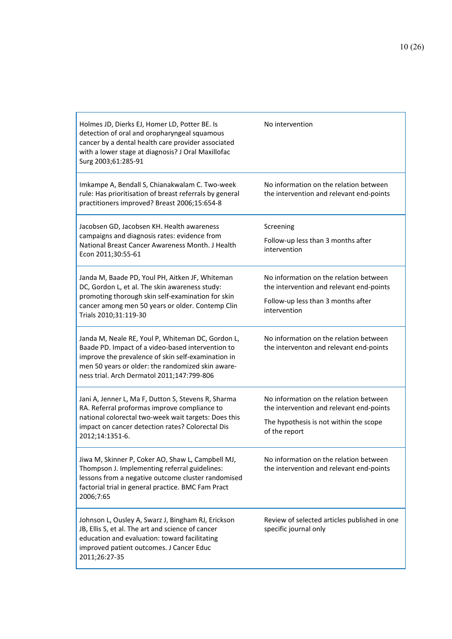| Holmes JD, Dierks EJ, Homer LD, Potter BE. Is<br>detection of oral and oropharyngeal squamous<br>cancer by a dental health care provider associated<br>with a lower stage at diagnosis? J Oral Maxillofac<br>Surg 2003;61:285-91                                | No intervention                                                                                                                               |
|-----------------------------------------------------------------------------------------------------------------------------------------------------------------------------------------------------------------------------------------------------------------|-----------------------------------------------------------------------------------------------------------------------------------------------|
| Imkampe A, Bendall S, Chianakwalam C. Two-week<br>rule: Has prioritisation of breast referrals by general<br>practitioners improved? Breast 2006;15:654-8                                                                                                       | No information on the relation between<br>the intervention and relevant end-points                                                            |
| Jacobsen GD, Jacobsen KH. Health awareness<br>campaigns and diagnosis rates: evidence from<br>National Breast Cancer Awareness Month. J Health<br>Econ 2011;30:55-61                                                                                            | Screening<br>Follow-up less than 3 months after<br>intervention                                                                               |
| Janda M, Baade PD, Youl PH, Aitken JF, Whiteman<br>DC, Gordon L, et al. The skin awareness study:<br>promoting thorough skin self-examination for skin<br>cancer among men 50 years or older. Contemp Clin<br>Trials 2010;31:119-30                             | No information on the relation between<br>the intervention and relevant end-points<br>Follow-up less than 3 months after<br>intervention      |
| Janda M, Neale RE, Youl P, Whiteman DC, Gordon L,<br>Baade PD. Impact of a video-based intervention to<br>improve the prevalence of skin self-examination in<br>men 50 years or older: the randomized skin aware-<br>ness trial. Arch Dermatol 2011;147:799-806 | No information on the relation between<br>the interventon and relevant end-points                                                             |
| Jani A, Jenner L, Ma F, Dutton S, Stevens R, Sharma<br>RA. Referral proformas improve compliance to<br>national colorectal two-week wait targets: Does this<br>impact on cancer detection rates? Colorectal Dis<br>2012;14:1351-6.                              | No information on the relation between<br>the intervention and relevant end-points<br>The hypothesis is not within the scope<br>of the report |
| Jiwa M, Skinner P, Coker AO, Shaw L, Campbell MJ,<br>Thompson J. Implementing referral guidelines:<br>lessons from a negative outcome cluster randomised<br>factorial trial in general practice. BMC Fam Pract<br>2006;7:65                                     | No information on the relation between<br>the intervention and relevant end-points                                                            |
| Johnson L, Ousley A, Swarz J, Bingham RJ, Erickson<br>JB, Ellis S, et al. The art and science of cancer<br>education and evaluation: toward facilitating<br>improved patient outcomes. J Cancer Educ<br>2011;26:27-35                                           | Review of selected articles published in one<br>specific journal only                                                                         |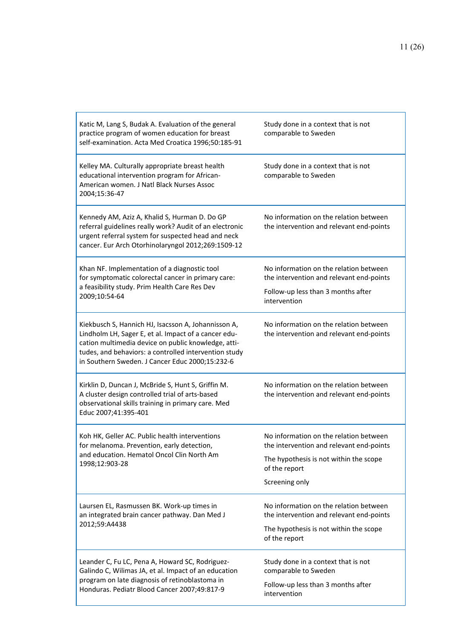| Katic M, Lang S, Budak A. Evaluation of the general<br>practice program of women education for breast<br>self-examination. Acta Med Croatica 1996;50:185-91                                                                                                                    | Study done in a context that is not<br>comparable to Sweden                        |
|--------------------------------------------------------------------------------------------------------------------------------------------------------------------------------------------------------------------------------------------------------------------------------|------------------------------------------------------------------------------------|
| Kelley MA. Culturally appropriate breast health<br>educational intervention program for African-<br>American women. J Natl Black Nurses Assoc<br>2004;15:36-47                                                                                                                 | Study done in a context that is not<br>comparable to Sweden                        |
| Kennedy AM, Aziz A, Khalid S, Hurman D. Do GP<br>referral guidelines really work? Audit of an electronic<br>urgent referral system for suspected head and neck<br>cancer. Eur Arch Otorhinolaryngol 2012;269:1509-12                                                           | No information on the relation between<br>the intervention and relevant end-points |
| Khan NF. Implementation of a diagnostic tool<br>for symptomatic colorectal cancer in primary care:<br>a feasibility study. Prim Health Care Res Dev<br>2009;10:54-64                                                                                                           | No information on the relation between<br>the intervention and relevant end-points |
|                                                                                                                                                                                                                                                                                | Follow-up less than 3 months after<br>intervention                                 |
| Kiekbusch S, Hannich HJ, Isacsson A, Johannisson A,<br>Lindholm LH, Sager E, et al. Impact of a cancer edu-<br>cation multimedia device on public knowledge, atti-<br>tudes, and behaviors: a controlled intervention study<br>in Southern Sweden. J Cancer Educ 2000;15:232-6 | No information on the relation between<br>the intervention and relevant end-points |
| Kirklin D, Duncan J, McBride S, Hunt S, Griffin M.<br>A cluster design controlled trial of arts-based<br>observational skills training in primary care. Med<br>Educ 2007;41:395-401                                                                                            | No information on the relation between<br>the intervention and relevant end-points |
| Koh HK, Geller AC. Public health interventions<br>for melanoma. Prevention, early detection,<br>and education. Hematol Oncol Clin North Am<br>1998;12:903-28                                                                                                                   | No information on the relation between<br>the intervention and relevant end-points |
|                                                                                                                                                                                                                                                                                | The hypothesis is not within the scope<br>of the report                            |
|                                                                                                                                                                                                                                                                                | Screening only                                                                     |
| Laursen EL, Rasmussen BK. Work-up times in<br>an integrated brain cancer pathway. Dan Med J<br>2012;59:A4438                                                                                                                                                                   | No information on the relation between<br>the intervention and relevant end-points |
|                                                                                                                                                                                                                                                                                | The hypothesis is not within the scope<br>of the report                            |
| Leander C, Fu LC, Pena A, Howard SC, Rodriguez-<br>Galindo C, Wilimas JA, et al. Impact of an education<br>program on late diagnosis of retinoblastoma in<br>Honduras. Pediatr Blood Cancer 2007;49:817-9                                                                      | Study done in a context that is not<br>comparable to Sweden                        |
|                                                                                                                                                                                                                                                                                | Follow-up less than 3 months after<br>intervention                                 |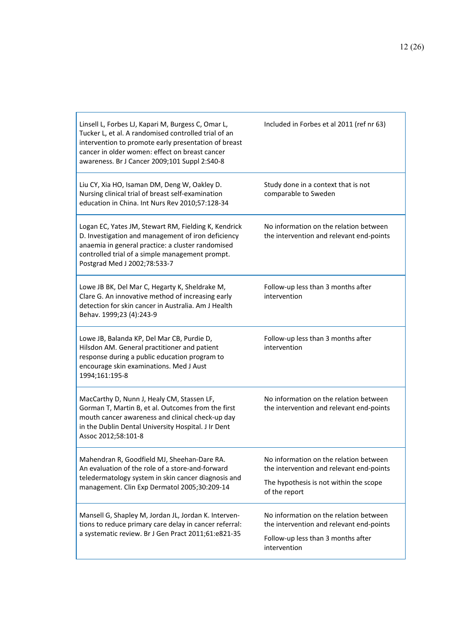| Linsell L, Forbes LJ, Kapari M, Burgess C, Omar L,<br>Tucker L, et al. A randomised controlled trial of an<br>intervention to promote early presentation of breast<br>cancer in older women: effect on breast cancer<br>awareness. Br J Cancer 2009;101 Suppl 2:S40-8 | Included in Forbes et al 2011 (ref nr 63)                                                                                                     |
|-----------------------------------------------------------------------------------------------------------------------------------------------------------------------------------------------------------------------------------------------------------------------|-----------------------------------------------------------------------------------------------------------------------------------------------|
| Liu CY, Xia HO, Isaman DM, Deng W, Oakley D.<br>Nursing clinical trial of breast self-examination<br>education in China. Int Nurs Rev 2010;57:128-34                                                                                                                  | Study done in a context that is not<br>comparable to Sweden                                                                                   |
| Logan EC, Yates JM, Stewart RM, Fielding K, Kendrick<br>D. Investigation and management of iron deficiency<br>anaemia in general practice: a cluster randomised<br>controlled trial of a simple management prompt.<br>Postgrad Med J 2002;78:533-7                    | No information on the relation between<br>the intervention and relevant end-points                                                            |
| Lowe JB BK, Del Mar C, Hegarty K, Sheldrake M,<br>Clare G. An innovative method of increasing early<br>detection for skin cancer in Australia. Am J Health<br>Behav. 1999;23 (4):243-9                                                                                | Follow-up less than 3 months after<br>intervention                                                                                            |
| Lowe JB, Balanda KP, Del Mar CB, Purdie D,<br>Hilsdon AM. General practitioner and patient<br>response during a public education program to<br>encourage skin examinations. Med J Aust<br>1994;161:195-8                                                              | Follow-up less than 3 months after<br>intervention                                                                                            |
| MacCarthy D, Nunn J, Healy CM, Stassen LF,<br>Gorman T, Martin B, et al. Outcomes from the first<br>mouth cancer awareness and clinical check-up day<br>in the Dublin Dental University Hospital. J Ir Dent<br>Assoc 2012;58:101-8                                    | No information on the relation between<br>the intervention and relevant end-points                                                            |
| Mahendran R, Goodfield MJ, Sheehan-Dare RA.<br>An evaluation of the role of a store-and-forward<br>teledermatology system in skin cancer diagnosis and<br>management. Clin Exp Dermatol 2005;30:209-14                                                                | No information on the relation between<br>the intervention and relevant end-points<br>The hypothesis is not within the scope<br>of the report |
| Mansell G, Shapley M, Jordan JL, Jordan K. Interven-<br>tions to reduce primary care delay in cancer referral:<br>a systematic review. Br J Gen Pract 2011;61:e821-35                                                                                                 | No information on the relation between<br>the intervention and relevant end-points<br>Follow-up less than 3 months after<br>intervention      |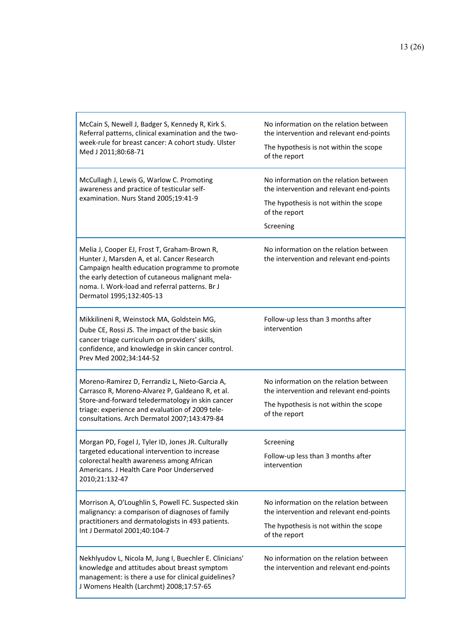| McCain S, Newell J, Badger S, Kennedy R, Kirk S.<br>Referral patterns, clinical examination and the two-<br>week-rule for breast cancer: A cohort study. Ulster<br>Med J 2011;80:68-71                                                                                          | No information on the relation between<br>the intervention and relevant end-points<br>The hypothesis is not within the scope<br>of the report              |
|---------------------------------------------------------------------------------------------------------------------------------------------------------------------------------------------------------------------------------------------------------------------------------|------------------------------------------------------------------------------------------------------------------------------------------------------------|
| McCullagh J, Lewis G, Warlow C. Promoting<br>awareness and practice of testicular self-<br>examination. Nurs Stand 2005;19:41-9                                                                                                                                                 | No information on the relation between<br>the intervention and relevant end-points<br>The hypothesis is not within the scope<br>of the report<br>Screening |
| Melia J, Cooper EJ, Frost T, Graham-Brown R,<br>Hunter J, Marsden A, et al. Cancer Research<br>Campaign health education programme to promote<br>the early detection of cutaneous malignant mela-<br>noma. I. Work-load and referral patterns. Br J<br>Dermatol 1995;132:405-13 | No information on the relation between<br>the intervention and relevant end-points                                                                         |
| Mikkilineni R, Weinstock MA, Goldstein MG,<br>Dube CE, Rossi JS. The impact of the basic skin<br>cancer triage curriculum on providers' skills,<br>confidence, and knowledge in skin cancer control.<br>Prev Med 2002;34:144-52                                                 | Follow-up less than 3 months after<br>intervention                                                                                                         |
| Moreno-Ramirez D, Ferrandiz L, Nieto-Garcia A,<br>Carrasco R, Moreno-Alvarez P, Galdeano R, et al.<br>Store-and-forward teledermatology in skin cancer<br>triage: experience and evaluation of 2009 tele-<br>consultations. Arch Dermatol 2007;143:479-84                       | No information on the relation between<br>the intervention and relevant end-points<br>The hypothesis is not within the scope<br>of the report              |
| Morgan PD, Fogel J, Tyler ID, Jones JR. Culturally<br>targeted educational intervention to increase<br>colorectal health awareness among African<br>Americans. J Health Care Poor Underserved<br>2010;21:132-47                                                                 | Screening<br>Follow-up less than 3 months after<br>intervention                                                                                            |
| Morrison A, O'Loughlin S, Powell FC. Suspected skin<br>malignancy: a comparison of diagnoses of family<br>practitioners and dermatologists in 493 patients.<br>Int J Dermatol 2001;40:104-7                                                                                     | No information on the relation between<br>the intervention and relevant end-points<br>The hypothesis is not within the scope<br>of the report              |
| Nekhlyudov L, Nicola M, Jung I, Buechler E. Clinicians'<br>knowledge and attitudes about breast symptom<br>management: is there a use for clinical guidelines?<br>J Womens Health (Larchmt) 2008;17:57-65                                                                       | No information on the relation between<br>the intervention and relevant end-points                                                                         |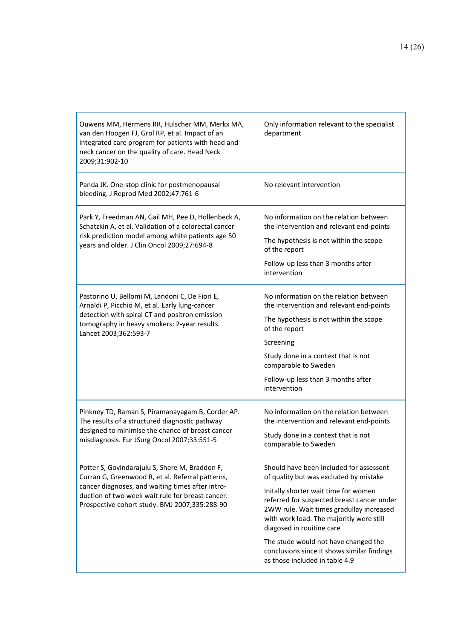| Ouwens MM, Hermens RR, Hulscher MM, Merkx MA,<br>van den Hoogen FJ, Grol RP, et al. Impact of an<br>integrated care program for patients with head and<br>neck cancer on the quality of care. Head Neck<br>2009;31:902-10                                   | Only information relevant to the specialist<br>department                                                                                                                                                                                                                                                                                                                                                             |
|-------------------------------------------------------------------------------------------------------------------------------------------------------------------------------------------------------------------------------------------------------------|-----------------------------------------------------------------------------------------------------------------------------------------------------------------------------------------------------------------------------------------------------------------------------------------------------------------------------------------------------------------------------------------------------------------------|
| Panda JK. One-stop clinic for postmenopausal<br>bleeding. J Reprod Med 2002;47:761-6                                                                                                                                                                        | No relevant intervention                                                                                                                                                                                                                                                                                                                                                                                              |
| Park Y, Freedman AN, Gail MH, Pee D, Hollenbeck A,<br>Schatzkin A, et al. Validation of a colorectal cancer<br>risk prediction model among white patients age 50<br>years and older. J Clin Oncol 2009;27:694-8                                             | No information on the relation between<br>the intervention and relevant end-points<br>The hypothesis is not within the scope<br>of the report<br>Follow-up less than 3 months after<br>intervention                                                                                                                                                                                                                   |
| Pastorino U, Bellomi M, Landoni C, De Fiori E,<br>Arnaldi P, Picchio M, et al. Early lung-cancer<br>detection with spiral CT and positron emission<br>tomography in heavy smokers: 2-year results.<br>Lancet 2003;362:593-7                                 | No information on the relation between<br>the intervention and relevant end-points<br>The hypothesis is not within the scope<br>of the report<br>Screening<br>Study done in a context that is not<br>comparable to Sweden<br>Follow-up less than 3 months after<br>intervention                                                                                                                                       |
| Pinkney TD, Raman S, Piramanayagam B, Corder AP.<br>The results of a structured diagnostic pathway<br>designed to minimise the chance of breast cancer<br>misdiagnosis. Eur JSurg Oncol 2007;33:551-5                                                       | No information on the relation between<br>the intervention and relevant end-points<br>Study done in a context that is not<br>comparable to Sweden                                                                                                                                                                                                                                                                     |
| Potter S, Govindarajulu S, Shere M, Braddon F,<br>Curran G, Greenwood R, et al. Referral patterns,<br>cancer diagnoses, and waiting times after intro-<br>duction of two week wait rule for breast cancer:<br>Prospective cohort study. BMJ 2007;335:288-90 | Should have been included for assessent<br>of quality but was excluded by mistake<br>Initally shorter wait time for women<br>referred for suspected breast cancer under<br>2WW rule. Wait times gradullay increased<br>with work load. The majoritiy were still<br>diagosed in rouitine care<br>The stude would not have changed the<br>conclusions since it shows similar findings<br>as those included in table 4.9 |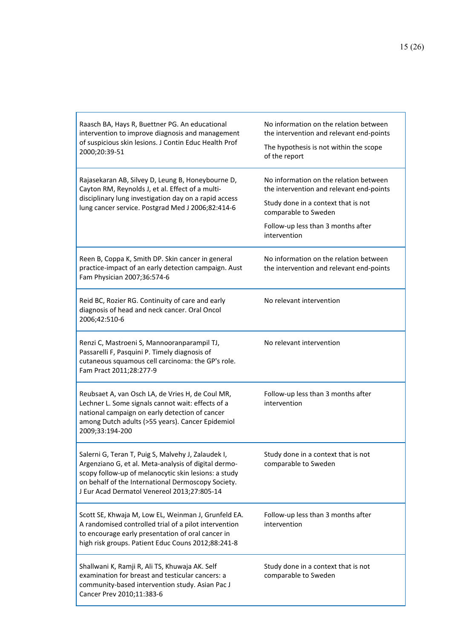| Raasch BA, Hays R, Buettner PG. An educational<br>intervention to improve diagnosis and management<br>of suspicious skin lesions. J Contin Educ Health Prof<br>2000;20:39-51                                                                                            | No information on the relation between<br>the intervention and relevant end-points<br>The hypothesis is not within the scope<br>of the report                                                           |
|-------------------------------------------------------------------------------------------------------------------------------------------------------------------------------------------------------------------------------------------------------------------------|---------------------------------------------------------------------------------------------------------------------------------------------------------------------------------------------------------|
| Rajasekaran AB, Silvey D, Leung B, Honeybourne D,<br>Cayton RM, Reynolds J, et al. Effect of a multi-<br>disciplinary lung investigation day on a rapid access<br>lung cancer service. Postgrad Med J 2006;82:414-6                                                     | No information on the relation between<br>the intervention and relevant end-points<br>Study done in a context that is not<br>comparable to Sweden<br>Follow-up less than 3 months after<br>intervention |
| Reen B, Coppa K, Smith DP. Skin cancer in general<br>practice-impact of an early detection campaign. Aust<br>Fam Physician 2007;36:574-6                                                                                                                                | No information on the relation between<br>the intervention and relevant end-points                                                                                                                      |
| Reid BC, Rozier RG. Continuity of care and early<br>diagnosis of head and neck cancer. Oral Oncol<br>2006;42:510-6                                                                                                                                                      | No relevant intervention                                                                                                                                                                                |
| Renzi C, Mastroeni S, Mannooranparampil TJ,<br>Passarelli F, Pasquini P. Timely diagnosis of<br>cutaneous squamous cell carcinoma: the GP's role.<br>Fam Pract 2011;28:277-9                                                                                            | No relevant intervention                                                                                                                                                                                |
| Reubsaet A, van Osch LA, de Vries H, de Coul MR,<br>Lechner L. Some signals cannot wait: effects of a<br>national campaign on early detection of cancer<br>among Dutch adults (>55 years). Cancer Epidemiol<br>2009;33:194-200                                          | Follow-up less than 3 months after<br>intervention                                                                                                                                                      |
| Salerni G, Teran T, Puig S, Malvehy J, Zalaudek I,<br>Argenziano G, et al. Meta-analysis of digital dermo-<br>scopy follow-up of melanocytic skin lesions: a study<br>on behalf of the International Dermoscopy Society.<br>J Eur Acad Dermatol Venereol 2013;27:805-14 | Study done in a context that is not<br>comparable to Sweden                                                                                                                                             |
| Scott SE, Khwaja M, Low EL, Weinman J, Grunfeld EA.<br>A randomised controlled trial of a pilot intervention<br>to encourage early presentation of oral cancer in<br>high risk groups. Patient Educ Couns 2012;88:241-8                                                 | Follow-up less than 3 months after<br>intervention                                                                                                                                                      |
| Shallwani K, Ramji R, Ali TS, Khuwaja AK. Self<br>examination for breast and testicular cancers: a<br>community-based intervention study. Asian Pac J<br>Cancer Prev 2010;11:383-6                                                                                      | Study done in a context that is not<br>comparable to Sweden                                                                                                                                             |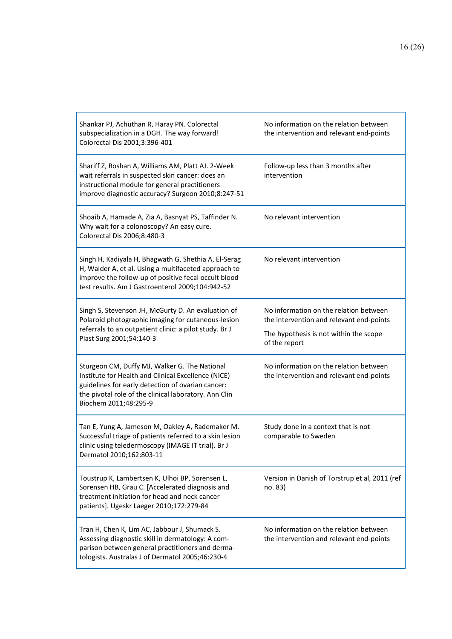| Shankar PJ, Achuthan R, Haray PN. Colorectal<br>subspecialization in a DGH. The way forward!<br>Colorectal Dis 2001;3:396-401                                                                                                               | No information on the relation between<br>the intervention and relevant end-points |
|---------------------------------------------------------------------------------------------------------------------------------------------------------------------------------------------------------------------------------------------|------------------------------------------------------------------------------------|
| Shariff Z, Roshan A, Williams AM, Platt AJ. 2-Week<br>wait referrals in suspected skin cancer: does an<br>instructional module for general practitioners<br>improve diagnostic accuracy? Surgeon 2010;8:247-51                              | Follow-up less than 3 months after<br>intervention                                 |
| Shoaib A, Hamade A, Zia A, Basnyat PS, Taffinder N.<br>Why wait for a colonoscopy? An easy cure.<br>Colorectal Dis 2006;8:480-3                                                                                                             | No relevant intervention                                                           |
| Singh H, Kadiyala H, Bhagwath G, Shethia A, El-Serag<br>H, Walder A, et al. Using a multifaceted approach to<br>improve the follow-up of positive fecal occult blood<br>test results. Am J Gastroenterol 2009;104:942-52                    | No relevant intervention                                                           |
| Singh S, Stevenson JH, McGurty D. An evaluation of<br>Polaroid photographic imaging for cutaneous-lesion                                                                                                                                    | No information on the relation between<br>the intervention and relevant end-points |
| referrals to an outpatient clinic: a pilot study. Br J<br>Plast Surg 2001;54:140-3                                                                                                                                                          | The hypothesis is not within the scope<br>of the report                            |
| Sturgeon CM, Duffy MJ, Walker G. The National<br>Institute for Health and Clinical Excellence (NICE)<br>guidelines for early detection of ovarian cancer:<br>the pivotal role of the clinical laboratory. Ann Clin<br>Biochem 2011;48:295-9 | No information on the relation between<br>the intervention and relevant end-points |
| Tan E, Yung A, Jameson M, Oakley A, Rademaker M.<br>Successful triage of patients referred to a skin lesion<br>clinic using teledermoscopy (IMAGE IT trial). Br J<br>Dermatol 2010;162:803-11                                               | Study done in a context that is not<br>comparable to Sweden                        |
| Toustrup K, Lambertsen K, Ulhoi BP, Sorensen L,<br>Sorensen HB, Grau C. [Accelerated diagnosis and<br>treatment initiation for head and neck cancer<br>patients]. Ugeskr Laeger 2010;172:279-84                                             | Version in Danish of Torstrup et al, 2011 (ref<br>no. 83)                          |
| Tran H, Chen K, Lim AC, Jabbour J, Shumack S.<br>Assessing diagnostic skill in dermatology: A com-<br>parison between general practitioners and derma-<br>tologists. Australas J of Dermatol 2005;46:230-4                                  | No information on the relation between<br>the intervention and relevant end-points |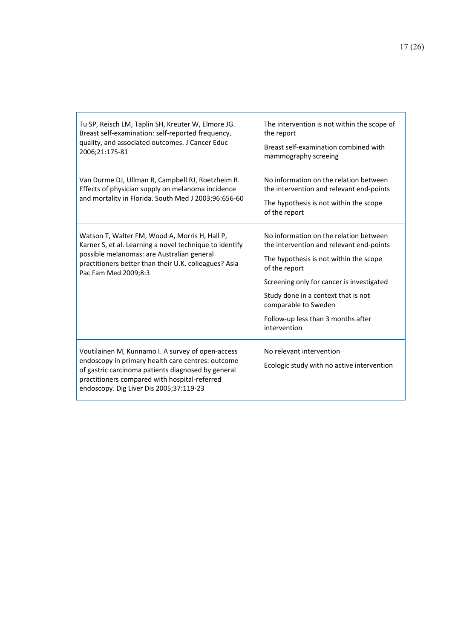| Tu SP, Reisch LM, Taplin SH, Kreuter W, Elmore JG.<br>Breast self-examination: self-reported frequency,<br>quality, and associated outcomes. J Cancer Educ<br>2006;21:175-81                                                                             | The intervention is not within the scope of<br>the report<br>Breast self-examination combined with<br>mammography screeing                                                                                                                                                                                      |
|----------------------------------------------------------------------------------------------------------------------------------------------------------------------------------------------------------------------------------------------------------|-----------------------------------------------------------------------------------------------------------------------------------------------------------------------------------------------------------------------------------------------------------------------------------------------------------------|
| Van Durme DJ, Ullman R, Campbell RJ, Roetzheim R.<br>Effects of physician supply on melanoma incidence<br>and mortality in Florida. South Med J 2003;96:656-60                                                                                           | No information on the relation between<br>the intervention and relevant end-points<br>The hypothesis is not within the scope<br>of the report                                                                                                                                                                   |
| Watson T, Walter FM, Wood A, Morris H, Hall P,<br>Karner S, et al. Learning a novel technique to identify<br>possible melanomas: are Australian general<br>practitioners better than their U.K. colleagues? Asia<br>Pac Fam Med 2009;8:3                 | No information on the relation between<br>the intervention and relevant end-points<br>The hypothesis is not within the scope<br>of the report<br>Screening only for cancer is investigated<br>Study done in a context that is not<br>comparable to Sweden<br>Follow-up less than 3 months after<br>intervention |
| Voutilainen M, Kunnamo I. A survey of open-access<br>endoscopy in primary health care centres: outcome<br>of gastric carcinoma patients diagnosed by general<br>practitioners compared with hospital-referred<br>endoscopy. Dig Liver Dis 2005;37:119-23 | No relevant intervention<br>Ecologic study with no active intervention                                                                                                                                                                                                                                          |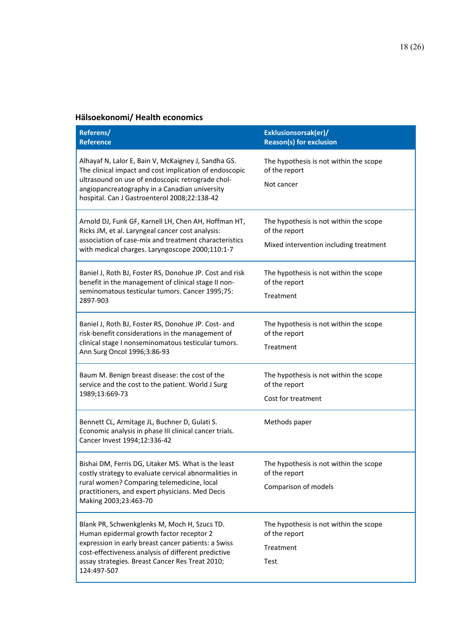## **Hälsoekonomi/ Health economics**

| Referens/<br><b>Reference</b>                                                                                                                                                                                                                                            | Exklusionsorsak(er)/<br><b>Reason(s) for exclusion</b>                                            |
|--------------------------------------------------------------------------------------------------------------------------------------------------------------------------------------------------------------------------------------------------------------------------|---------------------------------------------------------------------------------------------------|
| Alhayaf N, Lalor E, Bain V, McKaigney J, Sandha GS.<br>The clinical impact and cost implication of endoscopic<br>ultrasound on use of endoscopic retrograde chol-<br>angiopancreatography in a Canadian university<br>hospital. Can J Gastroenterol 2008;22:138-42       | The hypothesis is not within the scope<br>of the report<br>Not cancer                             |
| Arnold DJ, Funk GF, Karnell LH, Chen AH, Hoffman HT,<br>Ricks JM, et al. Laryngeal cancer cost analysis:<br>association of case-mix and treatment characteristics<br>with medical charges. Laryngoscope 2000;110:1-7                                                     | The hypothesis is not within the scope<br>of the report<br>Mixed intervention including treatment |
| Baniel J, Roth BJ, Foster RS, Donohue JP. Cost and risk<br>benefit in the management of clinical stage II non-<br>seminomatous testicular tumors. Cancer 1995;75:<br>2897-903                                                                                            | The hypothesis is not within the scope<br>of the report<br>Treatment                              |
| Baniel J, Roth BJ, Foster RS, Donohue JP. Cost- and<br>risk-benefit considerations in the management of<br>clinical stage I nonseminomatous testicular tumors.<br>Ann Surg Oncol 1996;3:86-93                                                                            | The hypothesis is not within the scope<br>of the report<br>Treatment                              |
| Baum M. Benign breast disease: the cost of the<br>service and the cost to the patient. World J Surg<br>1989;13:669-73                                                                                                                                                    | The hypothesis is not within the scope<br>of the report<br>Cost for treatment                     |
| Bennett CL, Armitage JL, Buchner D, Gulati S.<br>Economic analysis in phase III clinical cancer trials.<br>Cancer Invest 1994;12:336-42                                                                                                                                  | Methods paper                                                                                     |
| Bishai DM, Ferris DG, Litaker MS. What is the least<br>costly strategy to evaluate cervical abnormalities in<br>rural women? Comparing telemedicine, local<br>practitioners, and expert physicians. Med Decis<br>Making 2003;23:463-70                                   | The hypothesis is not within the scope<br>of the report<br>Comparison of models                   |
| Blank PR, Schwenkglenks M, Moch H, Szucs TD.<br>Human epidermal growth factor receptor 2<br>expression in early breast cancer patients: a Swiss<br>cost-effectiveness analysis of different predictive<br>assay strategies. Breast Cancer Res Treat 2010;<br>124:497-507 | The hypothesis is not within the scope<br>of the report<br>Treatment<br>Test                      |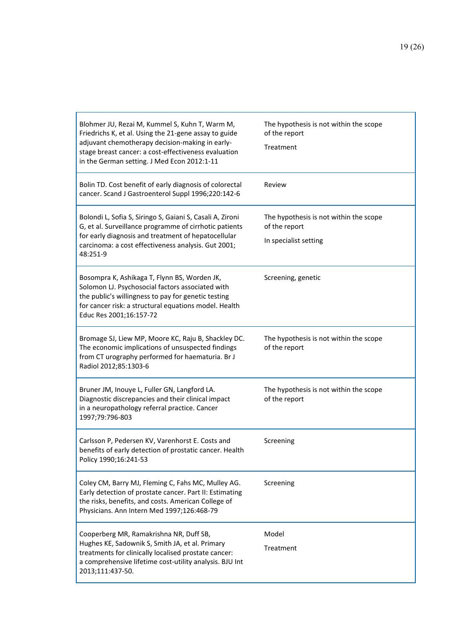| Blohmer JU, Rezai M, Kummel S, Kuhn T, Warm M,<br>Friedrichs K, et al. Using the 21-gene assay to guide<br>adjuvant chemotherapy decision-making in early-<br>stage breast cancer: a cost-effectiveness evaluation<br>in the German setting. J Med Econ 2012:1-11 | The hypothesis is not within the scope<br>of the report<br>Treatment             |
|-------------------------------------------------------------------------------------------------------------------------------------------------------------------------------------------------------------------------------------------------------------------|----------------------------------------------------------------------------------|
| Bolin TD. Cost benefit of early diagnosis of colorectal<br>cancer. Scand J Gastroenterol Suppl 1996;220:142-6                                                                                                                                                     | Review                                                                           |
| Bolondi L, Sofia S, Siringo S, Gaiani S, Casali A, Zironi<br>G, et al. Surveillance programme of cirrhotic patients<br>for early diagnosis and treatment of hepatocellular<br>carcinoma: a cost effectiveness analysis. Gut 2001;<br>48:251-9                     | The hypothesis is not within the scope<br>of the report<br>In specialist setting |
| Bosompra K, Ashikaga T, Flynn BS, Worden JK,<br>Solomon LJ. Psychosocial factors associated with<br>the public's willingness to pay for genetic testing<br>for cancer risk: a structural equations model. Health<br>Educ Res 2001;16:157-72                       | Screening, genetic                                                               |
| Bromage SJ, Liew MP, Moore KC, Raju B, Shackley DC.<br>The economic implications of unsuspected findings<br>from CT urography performed for haematuria. Br J<br>Radiol 2012;85:1303-6                                                                             | The hypothesis is not within the scope<br>of the report                          |
| Bruner JM, Inouye L, Fuller GN, Langford LA.<br>Diagnostic discrepancies and their clinical impact<br>in a neuropathology referral practice. Cancer<br>1997;79:796-803                                                                                            | The hypothesis is not within the scope<br>of the report                          |
| Carlsson P, Pedersen KV, Varenhorst E. Costs and<br>benefits of early detection of prostatic cancer. Health<br>Policy 1990;16:241-53                                                                                                                              | Screening                                                                        |
| Coley CM, Barry MJ, Fleming C, Fahs MC, Mulley AG.<br>Early detection of prostate cancer. Part II: Estimating<br>the risks, benefits, and costs. American College of<br>Physicians. Ann Intern Med 1997;126:468-79                                                | Screening                                                                        |
| Cooperberg MR, Ramakrishna NR, Duff SB,<br>Hughes KE, Sadownik S, Smith JA, et al. Primary<br>treatments for clinically localised prostate cancer:<br>a comprehensive lifetime cost-utility analysis. BJU Int<br>2013;111:437-50.                                 | Model<br>Treatment                                                               |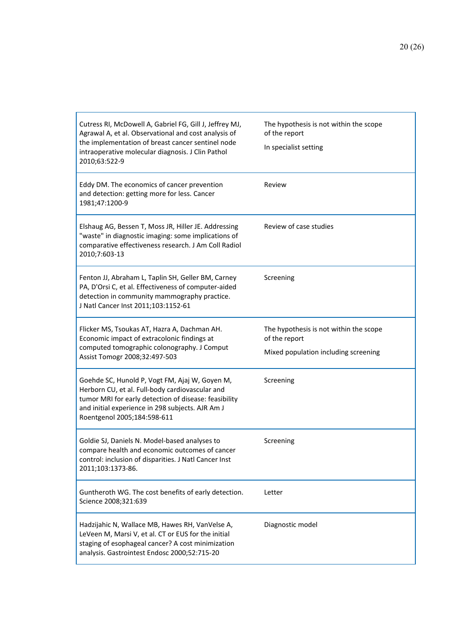| Cutress RI, McDowell A, Gabriel FG, Gill J, Jeffrey MJ,<br>Agrawal A, et al. Observational and cost analysis of<br>the implementation of breast cancer sentinel node<br>intraoperative molecular diagnosis. J Clin Pathol<br>2010;63:522-9    | The hypothesis is not within the scope<br>of the report<br>In specialist setting                |
|-----------------------------------------------------------------------------------------------------------------------------------------------------------------------------------------------------------------------------------------------|-------------------------------------------------------------------------------------------------|
| Eddy DM. The economics of cancer prevention<br>and detection: getting more for less. Cancer<br>1981;47:1200-9                                                                                                                                 | Review                                                                                          |
| Elshaug AG, Bessen T, Moss JR, Hiller JE. Addressing<br>"waste" in diagnostic imaging: some implications of<br>comparative effectiveness research. J Am Coll Radiol<br>2010;7:603-13                                                          | Review of case studies                                                                          |
| Fenton JJ, Abraham L, Taplin SH, Geller BM, Carney<br>PA, D'Orsi C, et al. Effectiveness of computer-aided<br>detection in community mammography practice.<br>J Natl Cancer Inst 2011;103:1152-61                                             | Screening                                                                                       |
| Flicker MS, Tsoukas AT, Hazra A, Dachman AH.<br>Economic impact of extracolonic findings at<br>computed tomographic colonography. J Comput<br>Assist Tomogr 2008;32:497-503                                                                   | The hypothesis is not within the scope<br>of the report<br>Mixed population including screening |
| Goehde SC, Hunold P, Vogt FM, Ajaj W, Goyen M,<br>Herborn CU, et al. Full-body cardiovascular and<br>tumor MRI for early detection of disease: feasibility<br>and initial experience in 298 subjects. AJR Am J<br>Roentgenol 2005;184:598-611 | Screening                                                                                       |
| Goldie SJ, Daniels N. Model-based analyses to<br>compare health and economic outcomes of cancer<br>control: inclusion of disparities. J Natl Cancer Inst<br>2011;103:1373-86.                                                                 | Screening                                                                                       |
| Guntheroth WG. The cost benefits of early detection.<br>Science 2008;321:639                                                                                                                                                                  | Letter                                                                                          |
| Hadzijahic N, Wallace MB, Hawes RH, VanVelse A,<br>LeVeen M, Marsi V, et al. CT or EUS for the initial<br>staging of esophageal cancer? A cost minimization<br>analysis. Gastrointest Endosc 2000;52:715-20                                   | Diagnostic model                                                                                |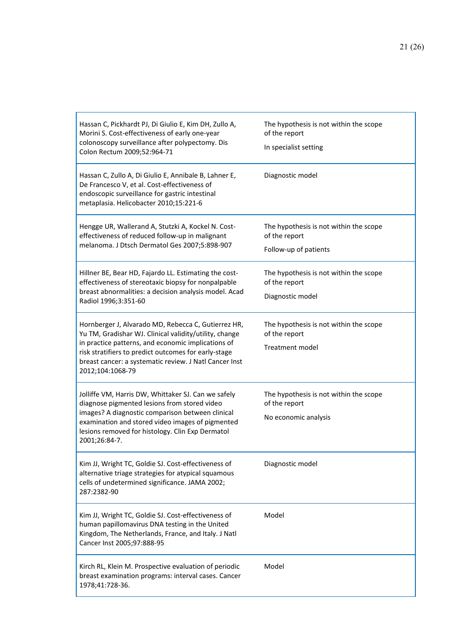| Hassan C, Pickhardt PJ, Di Giulio E, Kim DH, Zullo A,<br>Morini S. Cost-effectiveness of early one-year<br>colonoscopy surveillance after polypectomy. Dis<br>Colon Rectum 2009;52:964-71                                                                                                                 | The hypothesis is not within the scope<br>of the report<br>In specialist setting |
|-----------------------------------------------------------------------------------------------------------------------------------------------------------------------------------------------------------------------------------------------------------------------------------------------------------|----------------------------------------------------------------------------------|
| Hassan C, Zullo A, Di Giulio E, Annibale B, Lahner E,<br>De Francesco V, et al. Cost-effectiveness of<br>endoscopic surveillance for gastric intestinal<br>metaplasia. Helicobacter 2010;15:221-6                                                                                                         | Diagnostic model                                                                 |
| Hengge UR, Wallerand A, Stutzki A, Kockel N. Cost-<br>effectiveness of reduced follow-up in malignant<br>melanoma. J Dtsch Dermatol Ges 2007;5:898-907                                                                                                                                                    | The hypothesis is not within the scope<br>of the report<br>Follow-up of patients |
| Hillner BE, Bear HD, Fajardo LL. Estimating the cost-<br>effectiveness of stereotaxic biopsy for nonpalpable<br>breast abnormalities: a decision analysis model. Acad<br>Radiol 1996;3:351-60                                                                                                             | The hypothesis is not within the scope<br>of the report<br>Diagnostic model      |
| Hornberger J, Alvarado MD, Rebecca C, Gutierrez HR,<br>Yu TM, Gradishar WJ. Clinical validity/utility, change<br>in practice patterns, and economic implications of<br>risk stratifiers to predict outcomes for early-stage<br>breast cancer: a systematic review. J Natl Cancer Inst<br>2012;104:1068-79 | The hypothesis is not within the scope<br>of the report<br>Treatment model       |
| Jolliffe VM, Harris DW, Whittaker SJ. Can we safely<br>diagnose pigmented lesions from stored video<br>images? A diagnostic comparison between clinical<br>examination and stored video images of pigmented<br>lesions removed for histology. Clin Exp Dermatol<br>2001;26:84-7.                          | The hypothesis is not within the scope<br>of the report<br>No economic analysis  |
| Kim JJ, Wright TC, Goldie SJ. Cost-effectiveness of<br>alternative triage strategies for atypical squamous<br>cells of undetermined significance. JAMA 2002;<br>287:2382-90                                                                                                                               | Diagnostic model                                                                 |
| Kim JJ, Wright TC, Goldie SJ. Cost-effectiveness of<br>human papillomavirus DNA testing in the United<br>Kingdom, The Netherlands, France, and Italy. J Natl<br>Cancer Inst 2005;97:888-95                                                                                                                | Model                                                                            |
| Kirch RL, Klein M. Prospective evaluation of periodic<br>breast examination programs: interval cases. Cancer<br>1978;41:728-36.                                                                                                                                                                           | Model                                                                            |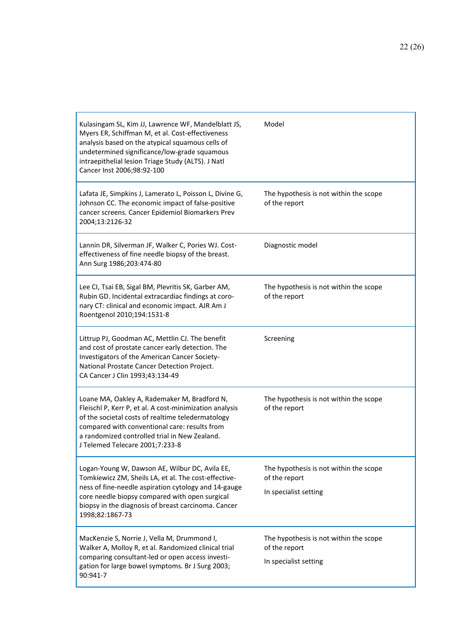| Kulasingam SL, Kim JJ, Lawrence WF, Mandelblatt JS,<br>Myers ER, Schiffman M, et al. Cost-effectiveness<br>analysis based on the atypical squamous cells of<br>undetermined significance/low-grade squamous<br>intraepithelial lesion Triage Study (ALTS). J Natl<br>Cancer Inst 2006;98:92-100   | Model                                                                            |
|---------------------------------------------------------------------------------------------------------------------------------------------------------------------------------------------------------------------------------------------------------------------------------------------------|----------------------------------------------------------------------------------|
| Lafata JE, Simpkins J, Lamerato L, Poisson L, Divine G,<br>Johnson CC. The economic impact of false-positive<br>cancer screens. Cancer Epidemiol Biomarkers Prev<br>2004;13:2126-32                                                                                                               | The hypothesis is not within the scope<br>of the report                          |
| Lannin DR, Silverman JF, Walker C, Pories WJ. Cost-<br>effectiveness of fine needle biopsy of the breast.<br>Ann Surg 1986;203:474-80                                                                                                                                                             | Diagnostic model                                                                 |
| Lee CI, Tsai EB, Sigal BM, Plevritis SK, Garber AM,<br>Rubin GD. Incidental extracardiac findings at coro-<br>nary CT: clinical and economic impact. AJR Am J<br>Roentgenol 2010;194:1531-8                                                                                                       | The hypothesis is not within the scope<br>of the report                          |
| Littrup PJ, Goodman AC, Mettlin CJ. The benefit<br>and cost of prostate cancer early detection. The<br>Investigators of the American Cancer Society-<br>National Prostate Cancer Detection Project.<br>CA Cancer J Clin 1993;43:134-49                                                            | Screening                                                                        |
| Loane MA, Oakley A, Rademaker M, Bradford N,<br>Fleischl P, Kerr P, et al. A cost-minimization analysis<br>of the societal costs of realtime teledermatology<br>compared with conventional care: results from<br>a randomized controlled trial in New Zealand.<br>J Telemed Telecare 2001;7:233-8 | The hypothesis is not within the scope<br>of the report                          |
| Logan-Young W, Dawson AE, Wilbur DC, Avila EE,<br>Tomkiewicz ZM, Sheils LA, et al. The cost-effective-<br>ness of fine-needle aspiration cytology and 14-gauge<br>core needle biopsy compared with open surgical<br>biopsy in the diagnosis of breast carcinoma. Cancer<br>1998;82:1867-73        | The hypothesis is not within the scope<br>of the report<br>In specialist setting |
| MacKenzie S, Norrie J, Vella M, Drummond I,<br>Walker A, Molloy R, et al. Randomized clinical trial<br>comparing consultant-led or open access investi-<br>gation for large bowel symptoms. Br J Surg 2003;<br>90:941-7                                                                           | The hypothesis is not within the scope<br>of the report<br>In specialist setting |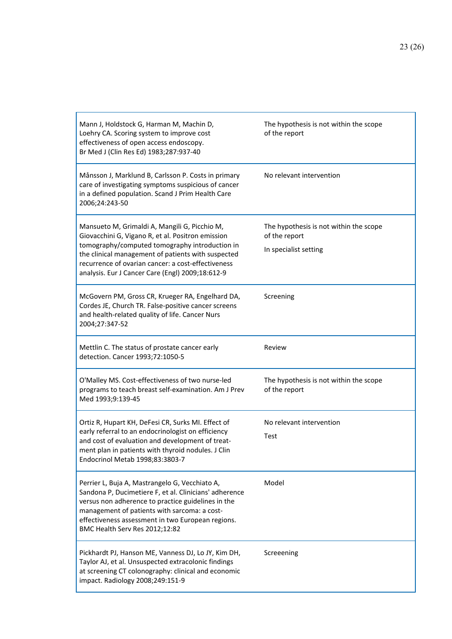| Mann J, Holdstock G, Harman M, Machin D,<br>Loehry CA. Scoring system to improve cost<br>effectiveness of open access endoscopy.<br>Br Med J (Clin Res Ed) 1983;287:937-40                                                                                                                                           | The hypothesis is not within the scope<br>of the report                          |
|----------------------------------------------------------------------------------------------------------------------------------------------------------------------------------------------------------------------------------------------------------------------------------------------------------------------|----------------------------------------------------------------------------------|
| Månsson J, Marklund B, Carlsson P. Costs in primary<br>care of investigating symptoms suspicious of cancer<br>in a defined population. Scand J Prim Health Care<br>2006;24:243-50                                                                                                                                    | No relevant intervention                                                         |
| Mansueto M, Grimaldi A, Mangili G, Picchio M,<br>Giovacchini G, Vigano R, et al. Positron emission<br>tomography/computed tomography introduction in<br>the clinical management of patients with suspected<br>recurrence of ovarian cancer: a cost-effectiveness<br>analysis. Eur J Cancer Care (Engl) 2009;18:612-9 | The hypothesis is not within the scope<br>of the report<br>In specialist setting |
| McGovern PM, Gross CR, Krueger RA, Engelhard DA,<br>Cordes JE, Church TR. False-positive cancer screens<br>and health-related quality of life. Cancer Nurs<br>2004;27:347-52                                                                                                                                         | Screening                                                                        |
| Mettlin C. The status of prostate cancer early<br>detection. Cancer 1993;72:1050-5                                                                                                                                                                                                                                   | Review                                                                           |
| O'Malley MS. Cost-effectiveness of two nurse-led<br>programs to teach breast self-examination. Am J Prev<br>Med 1993;9:139-45                                                                                                                                                                                        | The hypothesis is not within the scope<br>of the report                          |
| Ortiz R, Hupart KH, DeFesi CR, Surks MI. Effect of<br>early referral to an endocrinologist on efficiency<br>and cost of evaluation and development of treat-<br>ment plan in patients with thyroid nodules. J Clin<br>Endocrinol Metab 1998;83:3803-7                                                                | No relevant intervention<br>Test                                                 |
| Perrier L, Buja A, Mastrangelo G, Vecchiato A,<br>Sandona P, Ducimetiere F, et al. Clinicians' adherence<br>versus non adherence to practice guidelines in the<br>management of patients with sarcoma: a cost-<br>effectiveness assessment in two European regions.<br>BMC Health Serv Res 2012;12:82                | Model                                                                            |
| Pickhardt PJ, Hanson ME, Vanness DJ, Lo JY, Kim DH,<br>Taylor AJ, et al. Unsuspected extracolonic findings<br>at screening CT colonography: clinical and economic<br>impact. Radiology 2008;249:151-9                                                                                                                | Screeening                                                                       |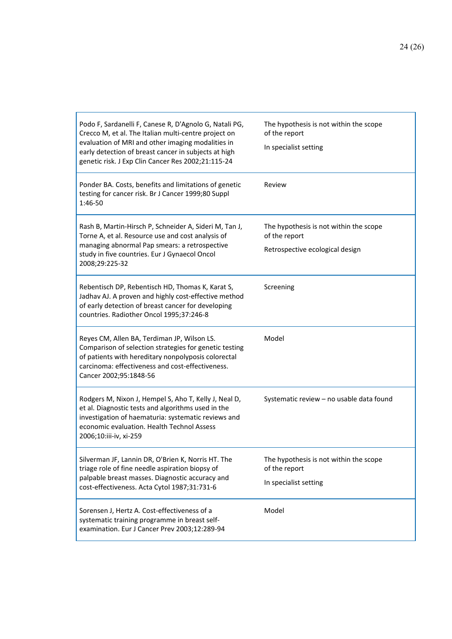| Podo F, Sardanelli F, Canese R, D'Agnolo G, Natali PG,<br>Crecco M, et al. The Italian multi-centre project on<br>evaluation of MRI and other imaging modalities in<br>early detection of breast cancer in subjects at high<br>genetic risk. J Exp Clin Cancer Res 2002;21:115-24 | The hypothesis is not within the scope<br>of the report<br>In specialist setting           |
|-----------------------------------------------------------------------------------------------------------------------------------------------------------------------------------------------------------------------------------------------------------------------------------|--------------------------------------------------------------------------------------------|
| Ponder BA. Costs, benefits and limitations of genetic<br>testing for cancer risk. Br J Cancer 1999;80 Suppl<br>1:46-50                                                                                                                                                            | Review                                                                                     |
| Rash B, Martin-Hirsch P, Schneider A, Sideri M, Tan J,<br>Torne A, et al. Resource use and cost analysis of<br>managing abnormal Pap smears: a retrospective<br>study in five countries. Eur J Gynaecol Oncol<br>2008;29:225-32                                                   | The hypothesis is not within the scope<br>of the report<br>Retrospective ecological design |
| Rebentisch DP, Rebentisch HD, Thomas K, Karat S,<br>Jadhav AJ. A proven and highly cost-effective method<br>of early detection of breast cancer for developing<br>countries. Radiother Oncol 1995;37:246-8                                                                        | Screening                                                                                  |
| Reyes CM, Allen BA, Terdiman JP, Wilson LS.<br>Comparison of selection strategies for genetic testing                                                                                                                                                                             | Model                                                                                      |
| of patients with hereditary nonpolyposis colorectal<br>carcinoma: effectiveness and cost-effectiveness.<br>Cancer 2002;95:1848-56                                                                                                                                                 |                                                                                            |
| Rodgers M, Nixon J, Hempel S, Aho T, Kelly J, Neal D,<br>et al. Diagnostic tests and algorithms used in the<br>investigation of haematuria: systematic reviews and<br>economic evaluation. Health Technol Assess<br>2006;10:iii-iv, xi-259                                        | Systematic review - no usable data found                                                   |
| Silverman JF, Lannin DR, O'Brien K, Norris HT. The<br>triage role of fine needle aspiration biopsy of<br>palpable breast masses. Diagnostic accuracy and<br>cost-effectiveness. Acta Cytol 1987;31:731-6                                                                          | The hypothesis is not within the scope<br>of the report<br>In specialist setting           |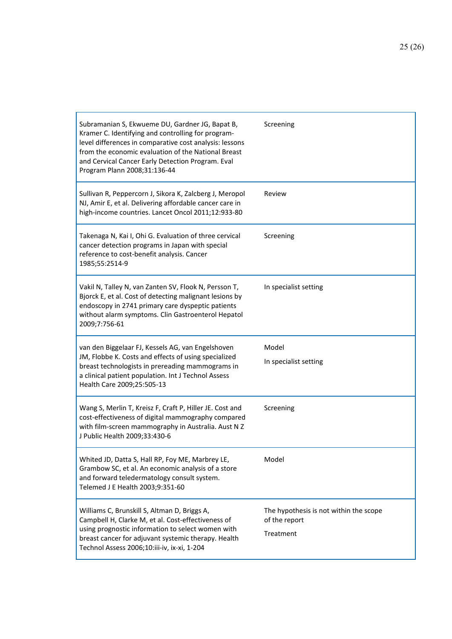| Subramanian S, Ekwueme DU, Gardner JG, Bapat B,<br>Kramer C. Identifying and controlling for program-<br>level differences in comparative cost analysis: lessons<br>from the economic evaluation of the National Breast<br>and Cervical Cancer Early Detection Program. Eval<br>Program Plann 2008;31:136-44 | Screening                                                            |
|--------------------------------------------------------------------------------------------------------------------------------------------------------------------------------------------------------------------------------------------------------------------------------------------------------------|----------------------------------------------------------------------|
| Sullivan R, Peppercorn J, Sikora K, Zalcberg J, Meropol<br>NJ, Amir E, et al. Delivering affordable cancer care in<br>high-income countries. Lancet Oncol 2011;12:933-80                                                                                                                                     | Review                                                               |
| Takenaga N, Kai I, Ohi G. Evaluation of three cervical<br>cancer detection programs in Japan with special<br>reference to cost-benefit analysis. Cancer<br>1985;55:2514-9                                                                                                                                    | Screening                                                            |
| Vakil N, Talley N, van Zanten SV, Flook N, Persson T,<br>Bjorck E, et al. Cost of detecting malignant lesions by<br>endoscopy in 2741 primary care dyspeptic patients<br>without alarm symptoms. Clin Gastroenterol Hepatol<br>2009;7:756-61                                                                 | In specialist setting                                                |
| van den Biggelaar FJ, Kessels AG, van Engelshoven<br>JM, Flobbe K. Costs and effects of using specialized<br>breast technologists in prereading mammograms in<br>a clinical patient population. Int J Technol Assess<br>Health Care 2009;25:505-13                                                           | Model<br>In specialist setting                                       |
| Wang S, Merlin T, Kreisz F, Craft P, Hiller JE. Cost and<br>cost-effectiveness of digital mammography compared<br>with film-screen mammography in Australia. Aust N Z<br>J Public Health 2009;33:430-6                                                                                                       | Screening                                                            |
| Whited JD, Datta S, Hall RP, Foy ME, Marbrey LE,<br>Grambow SC, et al. An economic analysis of a store<br>and forward teledermatology consult system.<br>Telemed J E Health 2003;9:351-60                                                                                                                    | Model                                                                |
| Williams C, Brunskill S, Altman D, Briggs A,<br>Campbell H, Clarke M, et al. Cost-effectiveness of<br>using prognostic information to select women with<br>breast cancer for adjuvant systemic therapy. Health<br>Technol Assess 2006;10:iii-iv, ix-xi, 1-204                                                | The hypothesis is not within the scope<br>of the report<br>Treatment |